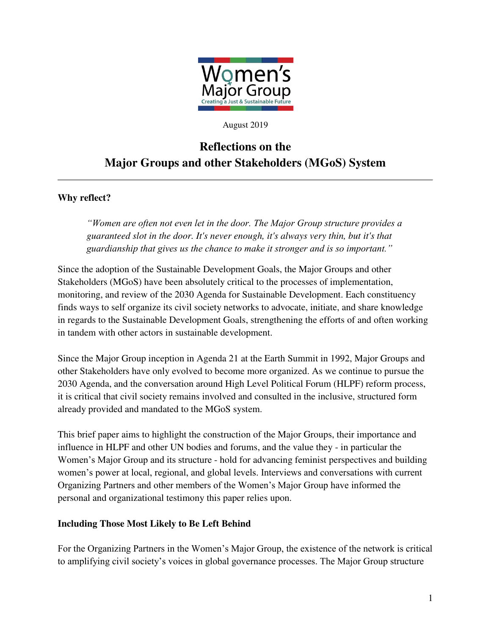

#### August 2019

# **Reflections on the Major Groups and other Stakeholders (MGoS) System**

## **Why reflect?**

*"Women are often not even let in the door. The Major Group structure provides a guaranteed slot in the door. It's never enough, it's always very thin, but it's that guardianship that gives us the chance to make it stronger and is so important."*

Since the adoption of the Sustainable Development Goals, the Major Groups and other Stakeholders (MGoS) have been absolutely critical to the processes of implementation, monitoring, and review of the 2030 Agenda for Sustainable Development. Each constituency finds ways to self organize its civil society networks to advocate, initiate, and share knowledge in regards to the Sustainable Development Goals, strengthening the efforts of and often working in tandem with other actors in sustainable development.

Since the Major Group inception in Agenda 21 at the Earth Summit in 1992, Major Groups and other Stakeholders have only evolved to become more organized. As we continue to pursue the 2030 Agenda, and the conversation around High Level Political Forum (HLPF) reform process, it is critical that civil society remains involved and consulted in the inclusive, structured form already provided and mandated to the MGoS system.

This brief paper aims to highlight the construction of the Major Groups, their importance and influence in HLPF and other UN bodies and forums, and the value they - in particular the Women's Major Group and its structure - hold for advancing feminist perspectives and building women's power at local, regional, and global levels. Interviews and conversations with current Organizing Partners and other members of the Women's Major Group have informed the personal and organizational testimony this paper relies upon.

### **Including Those Most Likely to Be Left Behind**

For the Organizing Partners in the Women's Major Group, the existence of the network is critical to amplifying civil society's voices in global governance processes. The Major Group structure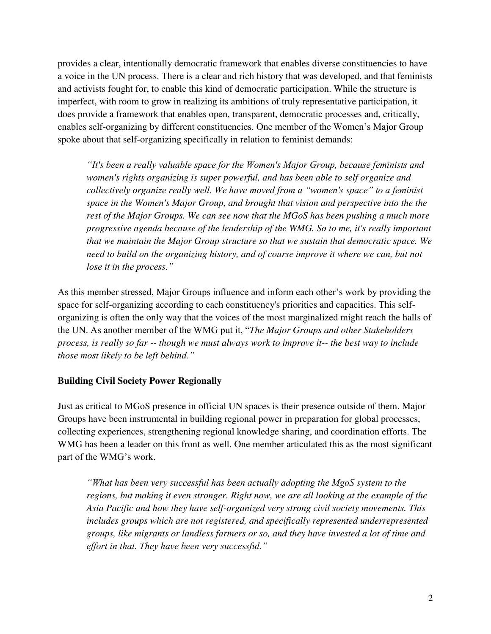provides a clear, intentionally democratic framework that enables diverse constituencies to have a voice in the UN process. There is a clear and rich history that was developed, and that feminists and activists fought for, to enable this kind of democratic participation. While the structure is imperfect, with room to grow in realizing its ambitions of truly representative participation, it does provide a framework that enables open, transparent, democratic processes and, critically, enables self-organizing by different constituencies. One member of the Women's Major Group spoke about that self-organizing specifically in relation to feminist demands:

*"It's been a really valuable space for the Women's Major Group, because feminists and women's rights organizing is super powerful, and has been able to self organize and collectively organize really well. We have moved from a "women's space" to a feminist space in the Women's Major Group, and brought that vision and perspective into the the*  rest of the Major Groups. We can see now that the MGoS has been pushing a much more *progressive agenda because of the leadership of the WMG. So to me, it's really important that we maintain the Major Group structure so that we sustain that democratic space. We need to build on the organizing history, and of course improve it where we can, but not lose it in the process."*

As this member stressed, Major Groups influence and inform each other's work by providing the space for self-organizing according to each constituency's priorities and capacities. This selforganizing is often the only way that the voices of the most marginalized might reach the halls of the UN. As another member of the WMG put it, "*The Major Groups and other Stakeholders process, is really so far -- though we must always work to improve it-- the best way to include those most likely to be left behind."*

## **Building Civil Society Power Regionally**

Just as critical to MGoS presence in official UN spaces is their presence outside of them. Major Groups have been instrumental in building regional power in preparation for global processes, collecting experiences, strengthening regional knowledge sharing, and coordination efforts. The WMG has been a leader on this front as well. One member articulated this as the most significant part of the WMG's work.

*"What has been very successful has been actually adopting the MgoS system to the regions, but making it even stronger. Right now, we are all looking at the example of the Asia Pacific and how they have self-organized very strong civil society movements. This includes groups which are not registered, and specifically represented underrepresented groups, like migrants or landless farmers or so, and they have invested a lot of time and effort in that. They have been very successful."*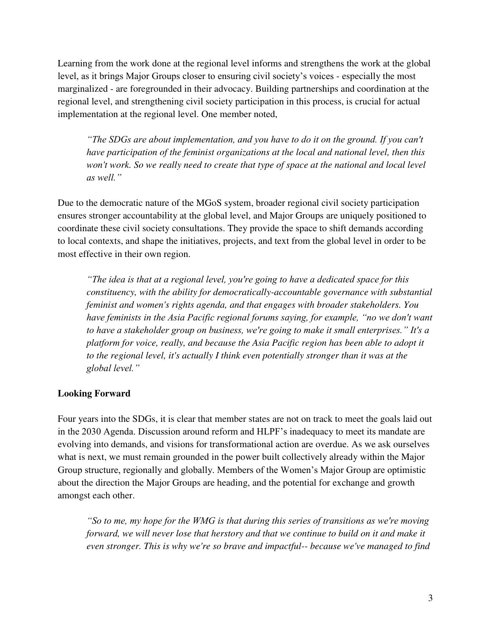Learning from the work done at the regional level informs and strengthens the work at the global level, as it brings Major Groups closer to ensuring civil society's voices - especially the most marginalized - are foregrounded in their advocacy. Building partnerships and coordination at the regional level, and strengthening civil society participation in this process, is crucial for actual implementation at the regional level. One member noted,

*"The SDGs are about implementation, and you have to do it on the ground. If you can't have participation of the feminist organizations at the local and national level, then this won't work. So we really need to create that type of space at the national and local level as well."* 

Due to the democratic nature of the MGoS system, broader regional civil society participation ensures stronger accountability at the global level, and Major Groups are uniquely positioned to coordinate these civil society consultations. They provide the space to shift demands according to local contexts, and shape the initiatives, projects, and text from the global level in order to be most effective in their own region.

*"The idea is that at a regional level, you're going to have a dedicated space for this constituency, with the ability for democratically-accountable governance with substantial feminist and women's rights agenda, and that engages with broader stakeholders. You have feminists in the Asia Pacific regional forums saying, for example, "no we don't want to have a stakeholder group on business, we're going to make it small enterprises." It's a platform for voice, really, and because the Asia Pacific region has been able to adopt it to the regional level, it's actually I think even potentially stronger than it was at the global level."*

## **Looking Forward**

Four years into the SDGs, it is clear that member states are not on track to meet the goals laid out in the 2030 Agenda. Discussion around reform and HLPF's inadequacy to meet its mandate are evolving into demands, and visions for transformational action are overdue. As we ask ourselves what is next, we must remain grounded in the power built collectively already within the Major Group structure, regionally and globally. Members of the Women's Major Group are optimistic about the direction the Major Groups are heading, and the potential for exchange and growth amongst each other.

*"So to me, my hope for the WMG is that during this series of transitions as we're moving forward, we will never lose that herstory and that we continue to build on it and make it even stronger. This is why we're so brave and impactful-- because we've managed to find*